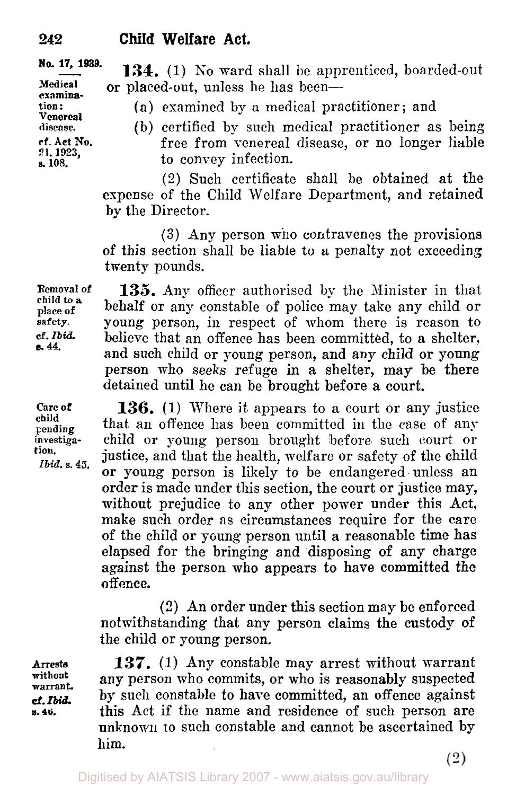**Medical**  examina-<br>tion :<br><sup>V</sup>enereal **disease. cf. Act No, 21, 1923, s, 108.** 

**134.** (1) **No** ward shall be apprenticed, boarded-out **No. 17, 1939.**  or placed-out, unless he has been-

(a) examined by a medical practitioner: and

(b) certified by such medical practitioner as being free from venereal disease, or no longer liable to convey infection.

(2) Such certificate shall be obtained at the expense of the Child Welfare Department, and retained **by** the Director.

**(3)** Any person who contravenes the provisions of this section shall be liable to *a* penalty not exceeding twenty pounds.

135. Any officer authorised by the Minister in that behalf or any constable of police may take any child or young person, in respect of whom there is reason to believe that an offence has been committed, to a shelter, and such child or young person, and any child or young person who seeks refuge in a shelter, may be there detained until he can be brought before a court. **Removal of place of safety. cf. Ibid child** to **a B. 44.** 

> **136.** (1) Where it appears to **a** court or any justice that an offence has been committed in the case of any child or young person brought before such court or justice, and that the health, welfare or safety of the child or young person is likely to be endangered-unless an order is made under this section, the court or justice may, without prejudice to any other power under this Act, make such order as circumstances require for the care of the child or young person until a reasonable time has elapsed for the bringing and disposing of any charge against the person **who** appears to have committed the **offence.**

> *(2)* An order under this section may be enforced notwithstanding that any person claims the custody of the child or young person.

**137.** (1) Any constable may arrest without warrant any person who commits, or who is reasonably suspected by such constable to have committed, an offence against this Act if the name and residence of such person are unknown to such constable and cannot be ascertained by him.

**Care of child pending**  investiga**tion.**  *Ibid.* **s.** *45.* 

**Arrests without warrant.**  *cf. Ibid.* **s. 46.**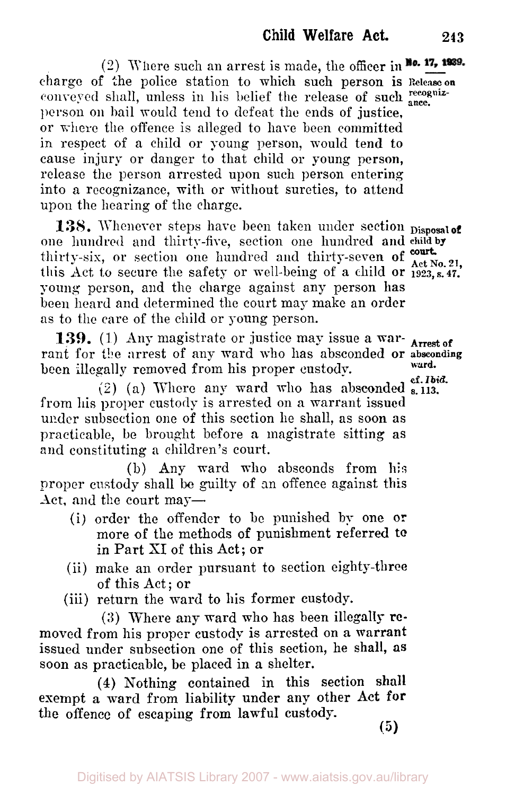(2) Where such an arrest is made, the officer in No. 17, 1939. charge of the police station to which such person **is Release on**  conveyed shall, unless in his belief the release of such  $_{\text{ance.}}^{rec$ person on bail would tend to defeat the ends of justice, or where the offence is alleged to have been committed in respect of a child or young person, would tend **to**  cause injury or danger to that child or young person, release the person arrested upon such person entering into a recognizance, with or without sureties, to attend upon the hearing of the charge.

138. Whenever steps have been taken under section **Disposal of** one hundred and thirty-five, section one hundred and **child by**  thirty-six, or section one hundred and thirty-seven of  $_{\text{Aet No 21}}^{\text{count}}$ this Act to secure the safety or well-being of a child or  $1923$ , s. 47. young person, and the charge against any person has been heard and determined the court may make an order as to the care of the child or young person.

**139.** (1) Any magistrate or justice may issue a warrant for the arrest of any ward who has absconded or **absconding**  been illegally removed from his proper custody.

from his proper custody is arrested on **a** warrant issued under subsection one of this section he shall, as soon as practicable, be brought before **a** magistrate sitting as and constituting a children's court. (2) (a) Where any ward who has absconded s. 113.

(b) Any ward who absconds from his proper custody shall be guilty of an offence against this Act, and the court may—

- (i) order the offender to be punished by one or more **of** the methods of punishment referred to in Part SI of this **Act; or**
- (ii) make an order pursuant to section eighty-three **of** this Act; or
- (iii) return the ward to his former custody.

**(3)** Where any ward who has been illegally removed from his proper custody is arrested on **a** warrant issued under subsection one of this section, he shall, **as**  soon as practicable, be placed in a shelter.

**(4)** Nothing contained in this section **shall**  exempt a ward from liability under any other **Act** for the offence of escaping from lawful custody.

*(5)* 

**ward.**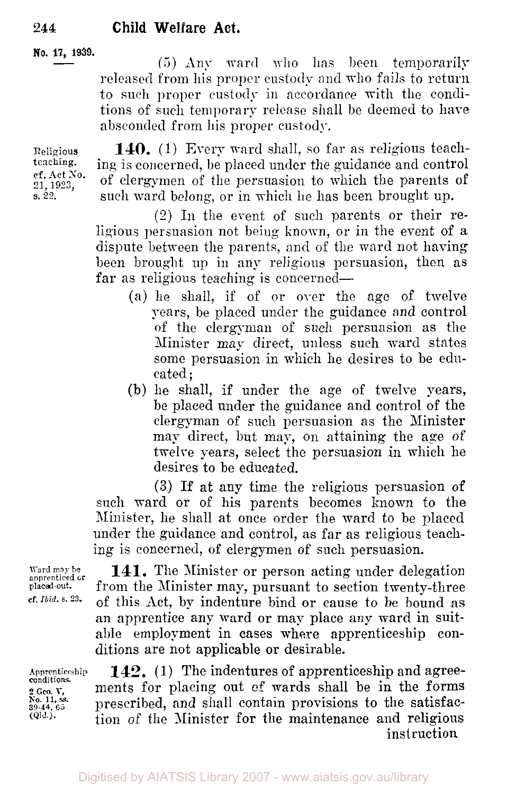#### **No. 17, 1939.**

(5) Any ward who has been temporarily released from his proper custody and who fails to return to such proper custody in accordance with the conditions of such temporary release shall be deemed to have absconded from his proper custody.

Religious teachingcf. Act *No.*  **21, 1923, s. 22.** 

140. (1) Every ward shall, so far as religious teaching is concerned, be placed under the guidance and control of clergymen of the persuasion to which the parents of such ward belong, or in which he has been brought up.

(2) In the event of such parents or their religious persuasion not being known, or in the event of a dispute between the parents, and of the ward not having been brought up in any religious persuasion, then as far as religious teaching is concerned—

- (a) he shall, if of or over the age of twelve years, be placed under the guidance and control of the clergyman of such persuasion as the Minister map direct, unless such ward states some persuasion in which he desires to be educated;
- (b) he shall, if under the age of twelve years, be placed under the guidance and control of the clergyman of such persuasion as the Minister may direct, but may, on attaining the age of twelve years, select the persuasion in which he desires to be educated.

**(3)** If at any time the religious persuasion of such ward or of his parents becomes known to the Minister, he shall at once order the ward to be placed under the guidance and control, as far as religious teaching is concerned, of clergymen of such persuasion.

Ward may be  $141$ . The Minister or person acting under delegation apprenticed or  $f_{\text{Pion}}$  from the Minister may pursuant to section twenty-three placed out. from the Minister may, pursuant to section twenty-three<br>cf. *Ibid.* s. 23. of this Act, by indentume hind on course to be beingd as *cf. Ibid. s. 23.* of this Act, by indenture bind or cause to be bound as an apprentice any ward or may place any ward in suitable employment in cases where apprenticeship conditions are not applicable or desirable.

**Apprenticeship 2** *Geo.* **V, 39 44, 65 (QId.).**  conditions. **No. 11,** *ss.* 

**142.** (1) The indentures of apprenticeship and agreements for placing out of wards shall be in the forms prescribed, and shall contain provisions to the satisfaction of the Minister for the maintenance and religious *instruction*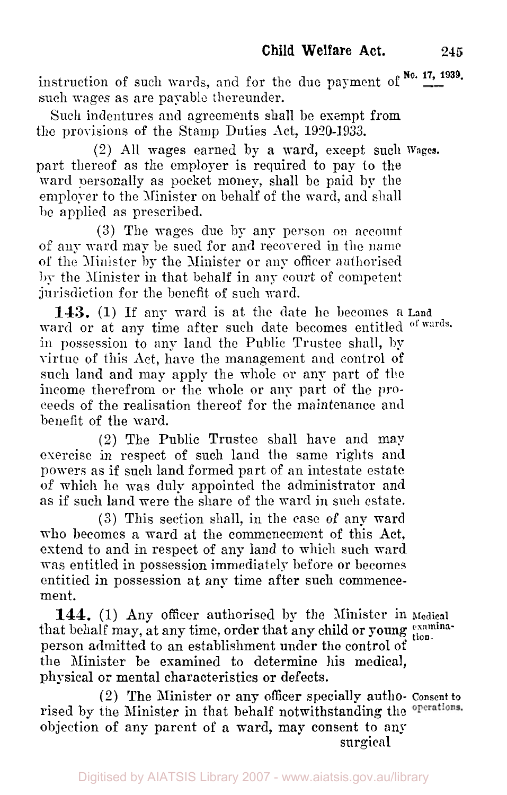instruction of such wards, and for the due payment of  $\frac{No. 17, 1939}{...}$ such wages as are payable thereunder.

Such indentures and agreements shall be exempt from the provisions of the Stamp Duties Act, 1920-1933.

part thereof as the employer is required to pay to the ward personally as pocket money, shall be paid by the employer to the Minister on behalf of the ward, and shall be applied as prescribed. (2) All wages earned by a ward, except such **Wages.** 

(3) The wages due by any person on account of any ward may be sued for and recovered in the name of the Minister by the Minister or any officer authorised by the Minister in that behalf in any court of competent jurisdiction for the benefit of such ward.

**143.** (1) If any ward is at the date he becomes a Land ward or at any time after such date becomes entitled of wards. in possession to any land the Public Trustee shall, by virtue of this Act, have the management and control of such land and may apply the whole or any part of the income therefrom or the whole or any part of the proceeds of the realisation thereof for the maintenance **and**  benefit of the ward.

**(2)** The Public Trustee shall have and may exercise in respect of such land the same rights and powers as if such land formed part of an intestate estate of which he was duly appointed the administrator and as if such land were the share of the ward in such estate.

(3) This section shall, in the case of any ward who becomes **a** ward at the commencement of this Act, extend to and in respect of any land to which such ward was entitled in possession immediately before or becomes entitied in possession at any time after such commencement.

that behalf may, at any time, order that any child or young examinaperson admitted to an establishment under the control of the Minister. be examined to determine his medical, physical or mental characteristics or defects. **144.** (1) Any officer authorised by the Minister in **Medical** 

rised by the Minister in that behalf notwithstanding the operations. objection of any parent of **a** ward, may consent to my (2) The Minister or any officer specially autho- Consent **to** 

surgical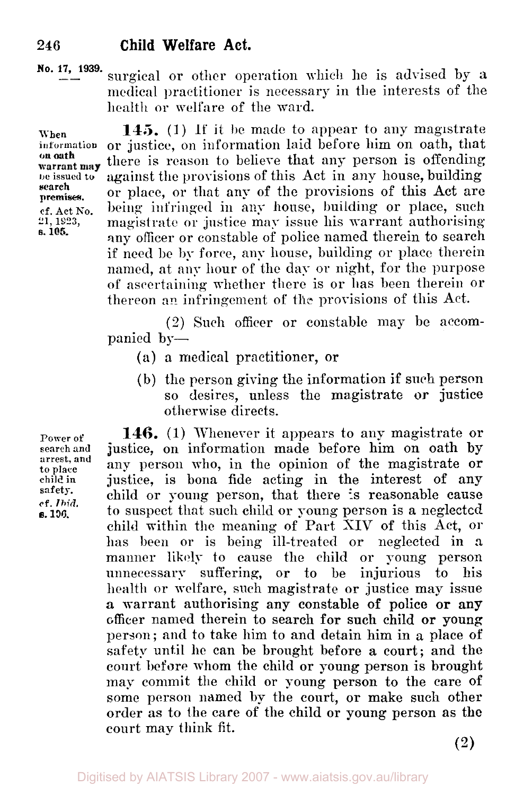**No. 17, 1939.** surgical or other operation which he is advised by **a**  medical practitioner is necessary in the interests of the health or welfare of the ward.

**on oath search premises.** 

**s. 105.** 

When **145.** (1) If it be made to appear to any magnetrate information or justice, on information laid before him on oath, that or justice, on information laid before him on oath, that there is reason to believe that any person is offending **being the against the provisions of this Act in any house, building** or place, or that any of the provisions of this Act are **cf.** Act No. being infringed in any house, building or place, such 21, 1923, magistrate or justice may issue his warrant authorising magistrate or justice may issue his warrant authorising any officer or constable of police named therein to search if need be **by** force, any house, building or place therein named, at any hour of the day or night, for the purpose of ascertaining whether there is or has been therein or thereon **an** infringement of the provisions of this Act.

> *(2)* Such officer or constable may be accompanied by-

- (a) a medical practitioner, or
- (b) the person giving the information if such person so desires, unless the magistrate **or** justice otherwise directs.

**Power of search and arrest, and**  to **place child in safety. cf.** *Ibid.*  **E. s. 106.** 

146. (1) Whenever it appears to any magistrate or justice, on information made before him on oath by any person who, in the opinion of the magistrate or justice, is bona fide acting in the interest of any child or young person, that there is reasonable cause to suspect that such child or young person is a neglected child within the meaning of Part XIV of this Act, **or**  has been or is being ill-treated or neglected in a manner likely to cause the child or young person unnecessary suffering, or to be injurious to his health or welfare, such magistrate or justice may issue **a** warrant authorising any constable **of** police **or any**  officer named therein to search for such child **or young**  person; and to take him to and detain him in a place of safety until he can be brought before a court; and the court before whom the child or young person is brought may commit the child or young person to the care of some person named by the court, or make such other order as to **the** care of the child or young person as the court may think fit.

**(2)**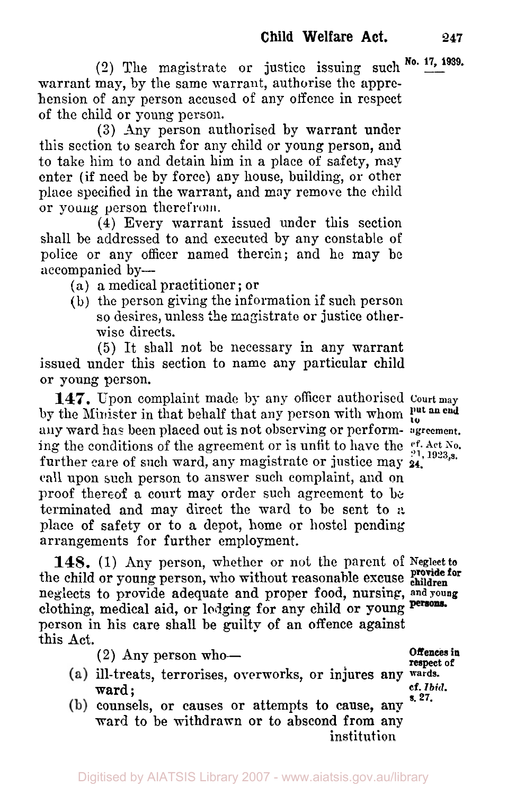**No. 17, 1939. (2)** The magistrate or justice issuing such warrant may, by the same warrant, authorise the apprehension of any person accused of any offence in respect of the child or young person.

**(3)** Any person authorised by warrant under this section to search for any child or young person, and to take him to and detain him in a place of safety, may enter (if need be by force) any house, building, or other place specified in the warrant, and may remove the child or young person therefrom.

**(4)** Every warrant issued under this section shall be addressed to and executed by any constable of police or any officer named therein; and he may be accompanied by-

- (a) a medical practitioner ; or
- (b) the person giving the information if such person so desires, unless *the* magistrate or justice otherwise directs.

(5) It shall not be necessary in any warrant issued under this section to name any particular child or young person.

**147.** Upon complaint made by any officer authorised **Court may**  by the Minister in that behalf that any person with whom  $\frac{\text{put}}{\text{ta}}$ **any** ward has been placed out is not observing or perform- **agreement.**  ing the conditions of the agreement or is unfit to have the  $e^{cf.$  Act No. further care of such ward, any magistrate or justice may **24.**  call upon such person to answer such complaint, and on proof thereof **a** court may order such agreement to be terminated and may direct the ward to be sent to *a*  place of safety or to a depot, home or hostel pending arrangements for further employment.

**148.** (1) Any person, whether or not the parent of **Neglect to provide for** the child or young person, who without reasonable excuse children neglects to provide adequate and proper food, nursing, **and young**  clothing, medical aid, or lodging **for** any child **or** young person in his care shall be guilty **of** an offence against this Act.

**(2)** Any person who-

**Offences in respect of s. 27.** 

- ill-treats, terrorises, overworks, or **injures any wards.**  ward ; **cf.** *Ibid.*
- counsels, or causes or attempts **to** cause, any ward to be withdrawn **or** to abscond from any institution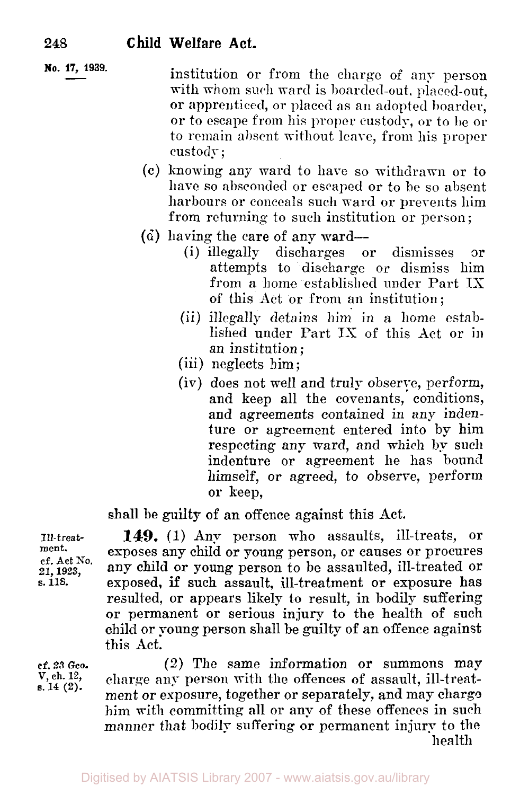institution or from the charge of any person with whom such ward is boarded-out, placed-out. or apprenticed, or placed as **an** adopted boarder, **No. 17, 1939.**  or to escape from his proper custody, or to be **or**  to remain absent without leave, from his proper custody ;

- (c) knowing any ward to have so withdrawn or to have so absconded or escaped or to be so absent harbours or conceals such ward or prevents him from returning to such institution or person ;
- $(d)$  having the care of any ward-
	- (i) illegally discharges or dismisses or attempts to discharge or dismiss him from a home established under Part IS of this Act or from an institution;
	- (ii) illegally detains him. in a home established under Part IX of this Act or in an institution;
	- (iii) neglects him;
	- (iv) does not well and truly observe, perform, and keep all the covenants, conditions, and agreements contained in any indenture or agreement entered into by him respecting any ward, and which by such indenture or agreement he has bound himself, or agreed, to observe, perform **or** keep,

shall be guilty **of** an offence against this Act.

**149.** (1) Any person who assaults, ill-treats, **or**  exposes any child or young person, or causes or procures any child or young person to be assaulted, ill-treated or exposed, if such assault, ill-treatment **or** exposure has resulted, or appears likely to result, in bodily suffering or permanent or serious injury to the health of such child or young person shall be guilty of an offence against this Act.

*(2)* The same information or summons may charge any person with the offences **of** assault, ill-treatment or exposure, together or separately, and may charge him with committing all or any of these offences in such manner that bodily suffering or permanent injury to the health

Ill- *treat***ment.**  cf. **Act NO. 21, 1923, s. 118.** 

**cf. 23** *Geo.*  **V, ch. 12, s. 14 (2).**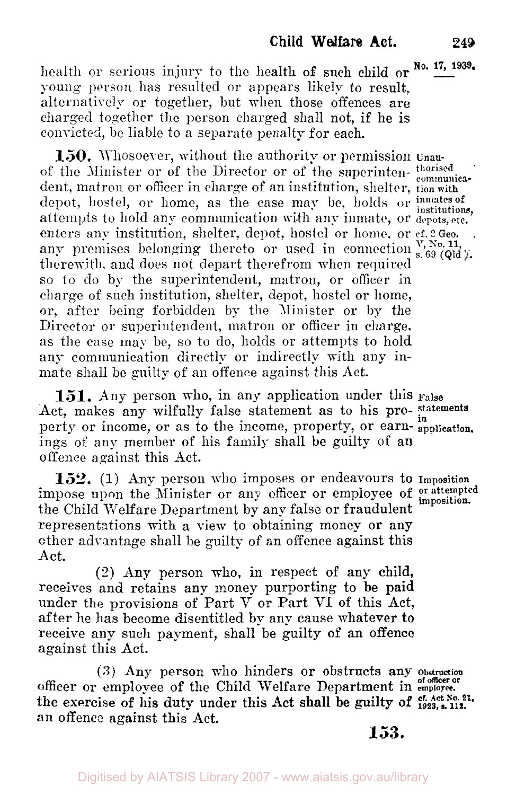**No. 17, 1939.** health or serious injury to the health of such child or young person has resulted or appears likely to result, alternatively or together, but when those offences are charged together the person charged shall not, if he is convicted, be liable to a separate penalty for each.

**150.** Whosoever, without the authority or permission **Unau**of the Minister or of the Director or of the superinten- thorised communicadent, matron or officer in charge of an institution, shelter, tion with depot, hostel, or home, as the case may be, holds or inmates of attempts to hold any communication with any inmate, or depots, etc. enters any institution, shelter, depot, hostel or home. or cf. 2 Geo. any premises belonging thereto or used in connection s,  $^{V, N_0, 11}$ , and  $^{V, N_0, 11}$ therewith, and does not depart therefrom when required so to do by the superintendent, matron, or officer in charge of such institution, shelter, depot, hostel or home, or, after being forbidden by the Minister or by the Director or superintendent, matron or officer in charge, as the case may be, so to do, holds or attempts to hold any communication directly or indirectly with any inmate shall be guilty of an offence against this Act.

**151.** Any person who, in any application under this **False**  Act, makes any wilfully false statement as to his pro- **statements**  perty or income, or as to the income, property, or earn- application. ings of any member of his family shall be guilty of an offence against this Act.

152. (1) Any person who imposes or endeavours to Imposition impose upon the Minister or any officer or employee of *or attempted imposition*  the Child Welfare Department by any false or fraudulent representations with a view to obtaining money or any other advantage shall be guilty of an offence against this Act.

(2) Any person who, in respect of any child, receives and retains any money purporting to **be paid**  under the provisions of Part V or Part VI of this Act, after he has become disentitled by any cause whatever to receive any such payment, shall be guilty of an offence against this Act.

officer or employee of the Child Welfare Department in **employee.**  an offencc against this Act. (3) Any person who hinders or obstructs any obstruction the exercise of his duty under this Act shall be guilty of  $e^{t}$ . Act No. 21.

**153.**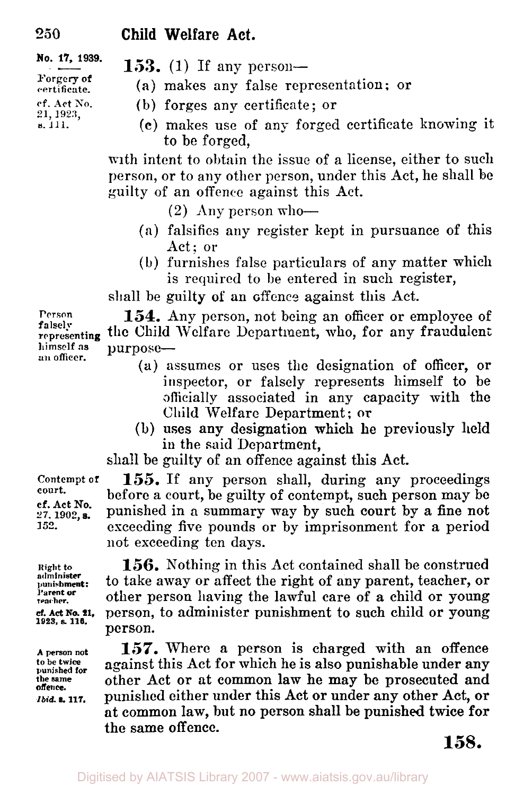**No. 17, 1939. Forgery of certificate. cf. Act** *No.*  **21, 1923, s. 111.** 

- **153.** (1) If any person-
	- **(a)** makes any false representation; or
	- (b) forges any certificate; or
		- **(c)** makes use of any forged certificate knowing it to be forged,

with intent to obtain the issue of a license, either to such person, or to any other person, under this Act, he shall **be**  guilty of an offence against this Act.

 $(2)$  Any person who-

- **(a)** falsifies any register kept in pursuance of this Act: or
- (b) furnishes false particulars of any matter which is required to be entered in such register,

shall be guilty **of an** offence against this Act.

**Person 154.** Any person, not being an officer or employee of **representing the** Child Welfare Department, who, for any fraudulent **himself as** purpose- **an officer.** 

- **(a)** assumes or uses the designation of officer, or inspector, or falsely represents himself to be officially associated in any capacity with the **Child** Welfare Department; **or**
- in the said Department, (b) uses any designation which he previously **held**

shall be guilty of an offence against this Act.

155. If any person shall, during any proceedings before a court, be guilty of contempt, such person may **be**  punished in a summary way by such court by a fine not exceeding five pounds or by imprisonment for a period not exceeding ten days.

**Riglit to 156.** Nothing in this Act contained shall be construed to take away or affect the right of any parent, teacher, or other person having the lawful care of a child or young *cf. Act* **NO. 21.** person, to administer punishment to such child or young person.

> **157.** Where a person is charged with an offence against this Act for which he is also punishable under any other Act or at common lam he may be prosecuted and punished either under this Act or under any other Act, or at common law, but no person shall be punished twice for the same offence.

**falsely** 

**Contempt of court.** 

**cf. Act No. 27. 1902, 152.** 

**administer Parent or teacher.** 

**1923, s. 116.** 

**A person not**  punished for **the same**  *Ibid.* **117. offence.**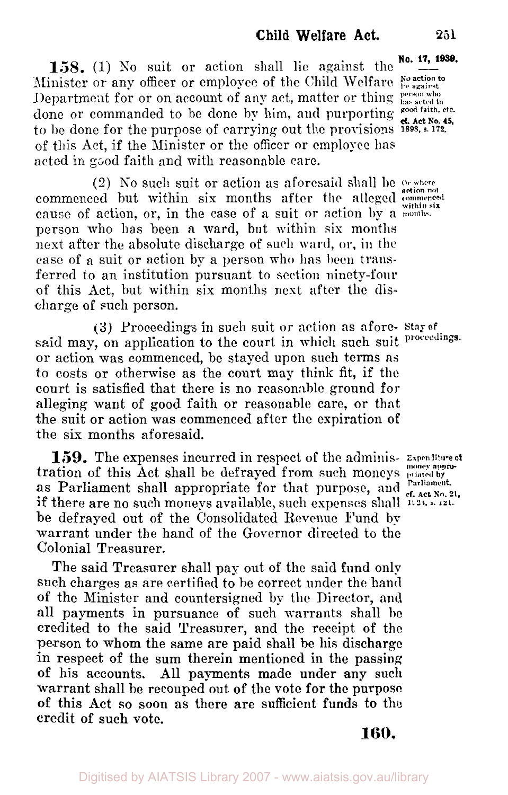**158.** (1) No suit or action shall lie against the **No. 17, 1939.** Minister or any officer or employee of the Child Welfare *No action to be against* 

Department for or on account of any act, matter or thing **person who** done or commanded to be done by him, and purporting rood faith, etc. to be done for the purpose of carrying out the provisions **1898. s** 172. of this Act, if the Minister or the officer or employee has acted in good faith and with reasonable care.

commenced hut within six months after the alleged **commenced**  cause of action, or, in the case of a suit or action by **a maonths within six**  person who has been a ward, but within six months next after the absolute discharge of such **ward,** or, in the case of a suit or action by a person who has been transferred to an institution pursuant to section ninety-four of this Act, but within six months next after the discharge of such person. (2) NO such suit or action as aforesaid shall be **or where action** not

said may, on application to the court in which such suit proceedings. or action was commenced, be stayed upon such terms as to costs or otherwise as the court may think fit, if the court is satisfied that there is no reasonable ground for alleging want of good faith or reasonable care, or that the suit or action was commenced after the expiration of the six months aforesaid. **(3)** Proceedings in such suit or action as afore- **Stay of** 

tration of this Act shall be defrayed from such moneys **priated by**  if there are no such moneys available, such eepenses shall **1923 s. 121.**  be defrayed out of the Consolidated Revenue Fund by warrant under the hand of the Governor directed to the Colonial Treasurer. **159.** The expenses incurred in respect of the adminis- **Expenditure of**  as Parliament shall appropriate for that purpose, and <sup>Parliament. **Act** Parliament.</sup>

The said Treasurer shall pay out of the said fund only such charges as are certified to be correct under the hand **of** the Minister and countersigned by the Director, **and**  all payments in pursuance of such warrants shall be credited to the said Treasurer, and the receipt **of** the person to whom the same are paid shall he his discharge in respect of the sum therein mentioned in the passing of his accounts. All payments made under any **such**  warrant shall be recouped out of the vote for the purpose of this Act so soon as there are sufficient funds to the credit of such vote.

**money appro-**

**160.** 

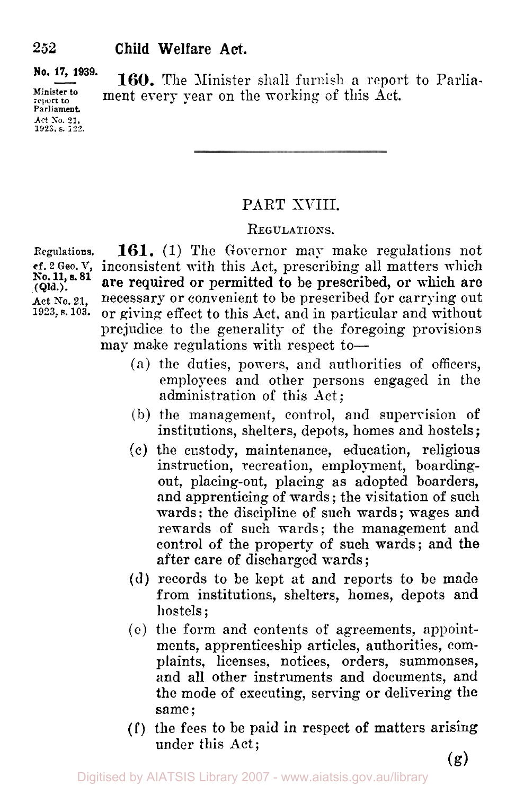**report to Parliament. Act** *So.* **21. 1923. s. 122.** 

**No. 17, 1939. 160.** The Minister shall furnish *a* report to Parliament every year on the working of this Act.

#### PART XVIII.

#### **REGULATIONS.**

Regulations. **161.** (1) The Governor may make regulations not et. 2 Geo. V, inconsistent with this Act, prescribing all matters which No. 11, s. 81 are required or pormitted to be prescribed or which are inconsistent with this Act, prescribing all matters which are required or permitted to be prescribed, or which are Act No. 21, necessary or convenient to be prescribed for carrying out<br>1923, s. 103. or giving effect to this Act, and in particular and without **1923, s. 103.** or giving effect to this Act, and in particular and without prejudice to the generality of the foregoing provisions may make regulations with respect to-

- **(a)** the duties, powers, **and** authorities of officers, employees and other persons engaged in the administration of this Act ;
- (b) the management, control, and supervision of institutions, shelters, depots, homes and hostels ;
- *(c)* the custody, maintenance, education, religious instruction, recreation, employment, boardingout, placing-out, placing as adopted boarders, and apprenticing of wards ; the visitation of such wards: the discipline of such wards; wages and rewards of such wards; the management and control of the property of such wards; and **the**  after care of discharged wards ;
- **(d)** records to be kept at and reports to be made from institutions, shelters, homes, depots and hostels ;
- (c) the form and contents of agreements, appointments, apprenticeship articles, authorities, complaints, licenses, notices, orders, summonses, and all other instruments and documents, and the mode of executing, serving or delivering the same ;
- **(f)** the fees to be paid in respect of matters arising under this *Act;*

**(Qld.).** 

**(g)**